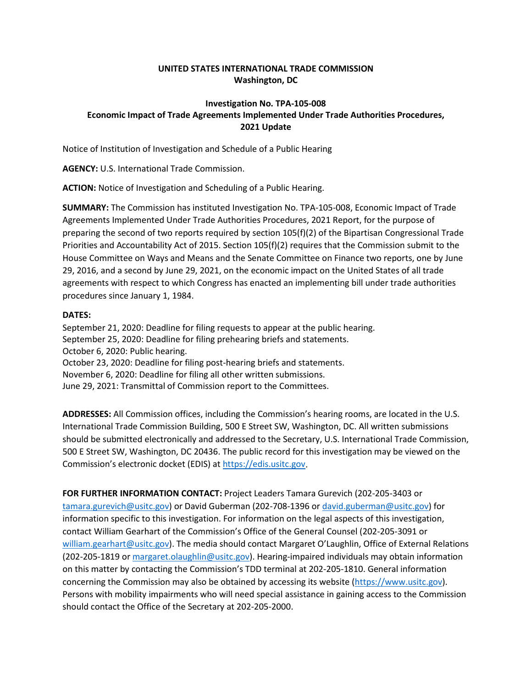## **UNITED STATES INTERNATIONAL TRADE COMMISSION Washington, DC**

## **Investigation No. TPA-105-008 Economic Impact of Trade Agreements Implemented Under Trade Authorities Procedures, 2021 Update**

Notice of Institution of Investigation and Schedule of a Public Hearing

**AGENCY:** U.S. International Trade Commission.

**ACTION:** Notice of Investigation and Scheduling of a Public Hearing.

**SUMMARY:** The Commission has instituted Investigation No. TPA-105-008, Economic Impact of Trade Agreements Implemented Under Trade Authorities Procedures, 2021 Report, for the purpose of preparing the second of two reports required by section 105(f)(2) of the Bipartisan Congressional Trade Priorities and Accountability Act of 2015. Section 105(f)(2) requires that the Commission submit to the House Committee on Ways and Means and the Senate Committee on Finance two reports, one by June 29, 2016, and a second by June 29, 2021, on the economic impact on the United States of all trade agreements with respect to which Congress has enacted an implementing bill under trade authorities procedures since January 1, 1984.

## **DATES:**

September 21, 2020: Deadline for filing requests to appear at the public hearing. September 25, 2020: Deadline for filing prehearing briefs and statements. October 6, 2020: Public hearing. October 23, 2020: Deadline for filing post-hearing briefs and statements. November 6, 2020: Deadline for filing all other written submissions. June 29, 2021: Transmittal of Commission report to the Committees.

**ADDRESSES:** All Commission offices, including the Commission's hearing rooms, are located in the U.S. International Trade Commission Building, 500 E Street SW, Washington, DC. All written submissions should be submitted electronically and addressed to the Secretary, U.S. International Trade Commission, 500 E Street SW, Washington, DC 20436. The public record for this investigation may be viewed on the Commission's electronic docket (EDIS) at [https://edis.usitc.gov.](https://edis.usitc.gov/)

**FOR FURTHER INFORMATION CONTACT:** Project Leaders Tamara Gurevich (202-205-3403 or [tamara.gurevich@usitc.gov\)](mailto:tamara.gurevich@usitc.gov) or David Guberman (202-708-1396 or [david.guberman@usitc.gov\)](mailto:david.guberman@usitc.gov) for information specific to this investigation. For information on the legal aspects of this investigation, contact William Gearhart of the Commission's Office of the General Counsel (202-205-3091 or william.gearhart@usitc.gov). The media should contact Margaret O'Laughlin, Office of External Relations (202-205-1819 or margaret.olaughlin@usitc.gov). Hearing-impaired individuals may obtain information on this matter by contacting the Commission's TDD terminal at 202-205-1810. General information concerning the Commission may also be obtained by accessing its website [\(https://www.usitc.gov\)](https://www.usitc.gov/). Persons with mobility impairments who will need special assistance in gaining access to the Commission should contact the Office of the Secretary at 202-205-2000.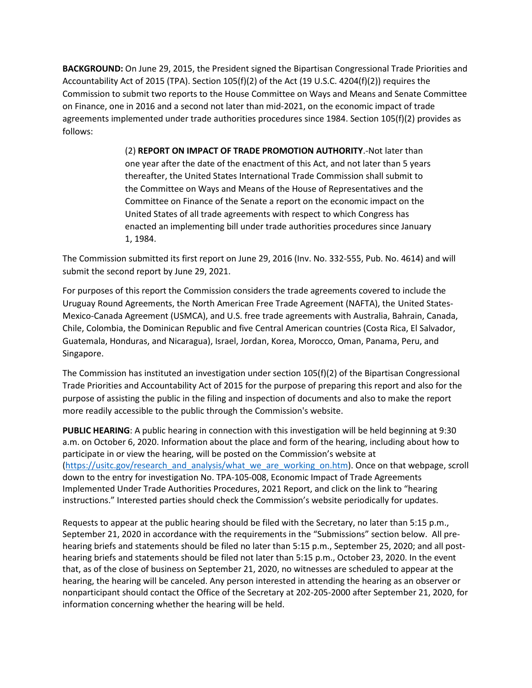**BACKGROUND:** On June 29, 2015, the President signed the Bipartisan Congressional Trade Priorities and Accountability Act of 2015 (TPA). Section 105(f)(2) of the Act (19 U.S.C. 4204(f)(2)) requires the Commission to submit two reports to the House Committee on Ways and Means and Senate Committee on Finance, one in 2016 and a second not later than mid-2021, on the economic impact of trade agreements implemented under trade authorities procedures since 1984. Section 105(f)(2) provides as follows:

> (2) **REPORT ON IMPACT OF TRADE PROMOTION AUTHORITY**.-Not later than one year after the date of the enactment of this Act, and not later than 5 years thereafter, the United States International Trade Commission shall submit to the Committee on Ways and Means of the House of Representatives and the Committee on Finance of the Senate a report on the economic impact on the United States of all trade agreements with respect to which Congress has enacted an implementing bill under trade authorities procedures since January 1, 1984.

The Commission submitted its first report on June 29, 2016 (Inv. No. 332-555, Pub. No. 4614) and will submit the second report by June 29, 2021.

For purposes of this report the Commission considers the trade agreements covered to include the Uruguay Round Agreements, the North American Free Trade Agreement (NAFTA), the United States-Mexico-Canada Agreement (USMCA), and U.S. free trade agreements with Australia, Bahrain, Canada, Chile, Colombia, the Dominican Republic and five Central American countries (Costa Rica, El Salvador, Guatemala, Honduras, and Nicaragua), Israel, Jordan, Korea, Morocco, Oman, Panama, Peru, and Singapore.

The Commission has instituted an investigation under section 105(f)(2) of the Bipartisan Congressional Trade Priorities and Accountability Act of 2015 for the purpose of preparing this report and also for the purpose of assisting the public in the filing and inspection of documents and also to make the report more readily accessible to the public through the Commission's website.

**PUBLIC HEARING**: A public hearing in connection with this investigation will be held beginning at 9:30 a.m. on October 6, 2020. Information about the place and form of the hearing, including about how to participate in or view the hearing, will be posted on the Commission's website at [\(https://usitc.gov/research\\_and\\_analysis/what\\_we\\_are\\_working\\_on.htm\)](https://usitc.gov/research_and_analysis/what_we_are_working_on.htm). Once on that webpage, scroll down to the entry for investigation No. TPA-105-008, Economic Impact of Trade Agreements Implemented Under Trade Authorities Procedures, 2021 Report, and click on the link to "hearing instructions." Interested parties should check the Commission's website periodically for updates.

Requests to appear at the public hearing should be filed with the Secretary, no later than 5:15 p.m., September 21, 2020 in accordance with the requirements in the "Submissions" section below. All prehearing briefs and statements should be filed no later than 5:15 p.m., September 25, 2020; and all posthearing briefs and statements should be filed not later than 5:15 p.m., October 23, 2020. In the event that, as of the close of business on September 21, 2020, no witnesses are scheduled to appear at the hearing, the hearing will be canceled. Any person interested in attending the hearing as an observer or nonparticipant should contact the Office of the Secretary at 202-205-2000 after September 21, 2020, for information concerning whether the hearing will be held.